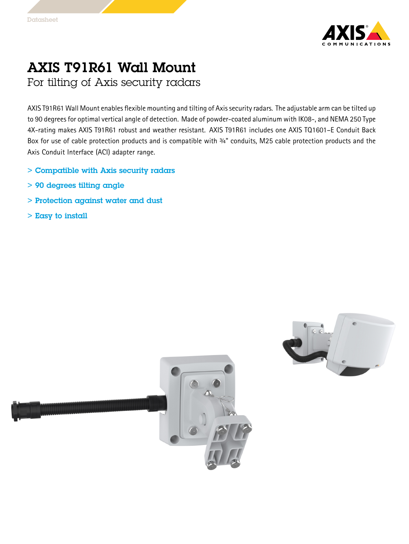

## AXIS T91R61 Wall Mount

For tilting of Axis security radars

AXIS T91R61 Wall Mount enables flexible mounting and tilting of Axissecurity radars. The adjustable arm can be tilted up to 90 degrees for optimal vertical angle of detection. Made of powder-coated aluminum with IK08-, and NEMA 250 Type 4X-rating makes AXIS T91R61 robust and weather resistant. AXIS T91R61 includes one AXIS TQ1601–E Conduit Back Box for use of cable protection products and is compatible with 3/4" conduits, M25 cable protection products and the Axis Conduit Interface (ACI) adapter range.

- > Compatible with Axis security radars
- > 90 degrees tilting angle
- > Protection against water and dust
- $>$  Easy to install